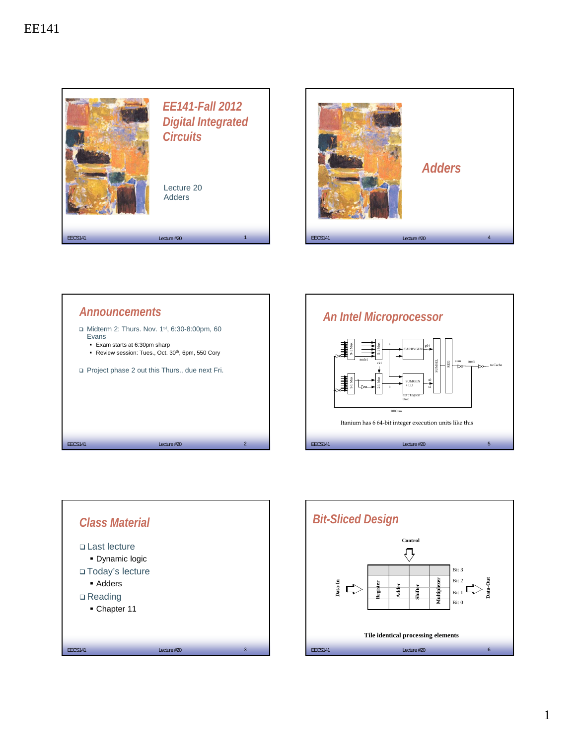









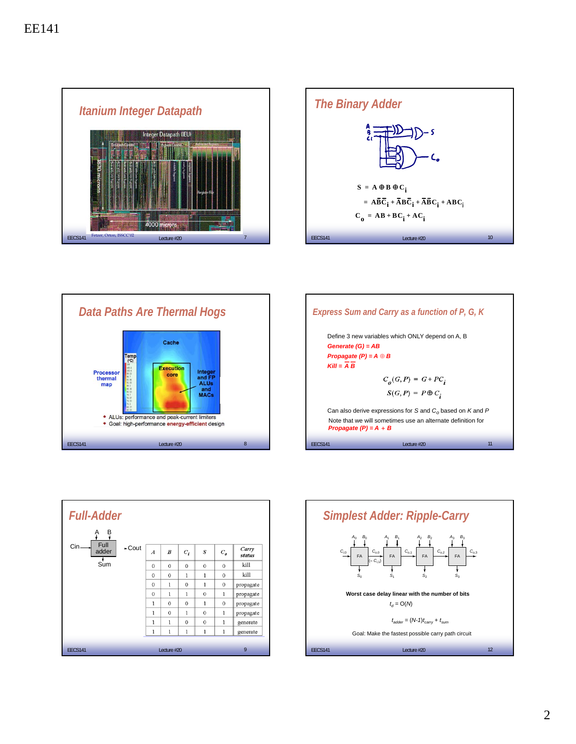









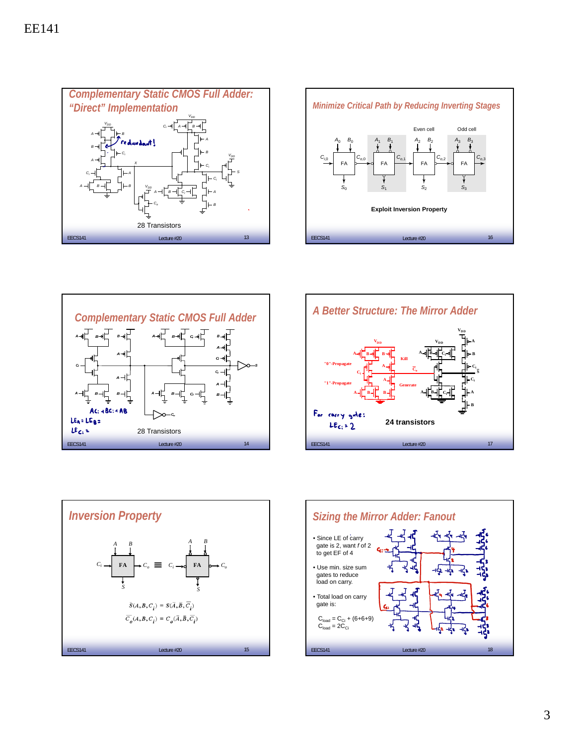









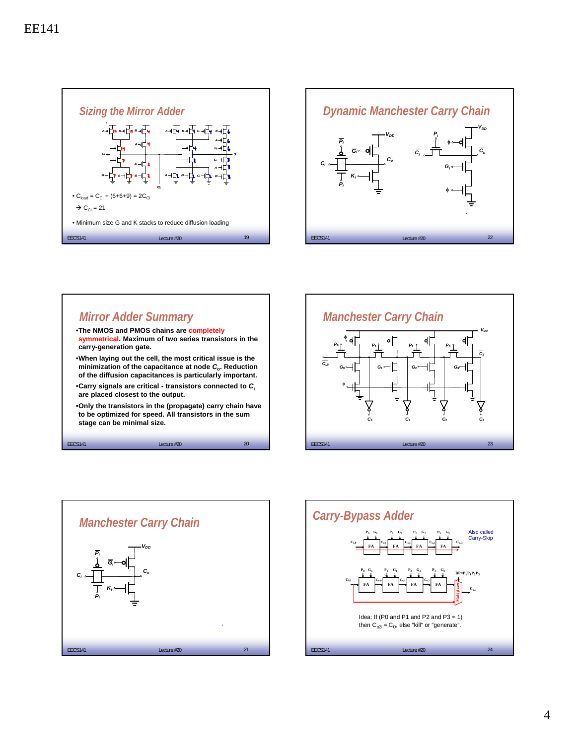



## *Mirror Adder Summary*

 $EECS141$   $Lecture #20$   $20$ •**The NMOS and PMOS chains are completely symmetrical. Maximum of two series transistors in the carry-generation gate.** •**When laying out the cell, the most critical issue is the minimization of the capacitance at node** *C***o. Reduction of the diffusion capacitances is particularly important.** •**Carry signals are critical - transistors connected to** *C***<sup>i</sup> are placed closest to the output.** •**Only the transistors in the (propagate) carry chain have to be optimized for speed. All transistors in the sum stage can be minimal size.** 





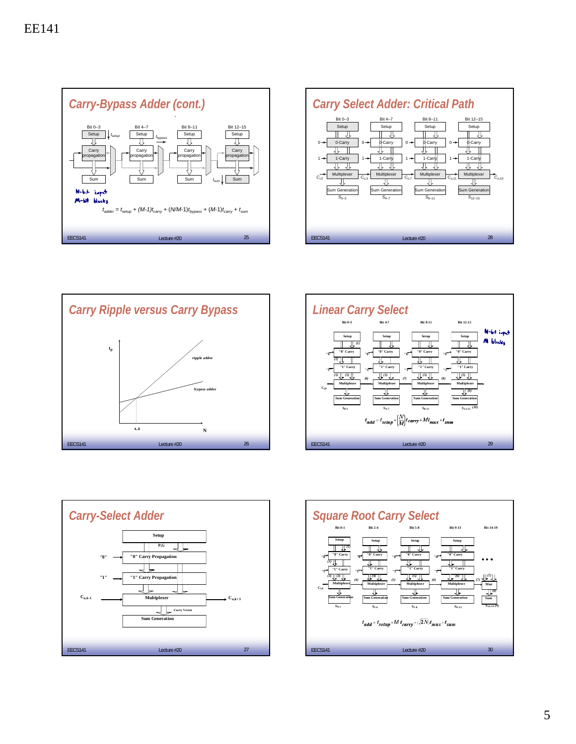









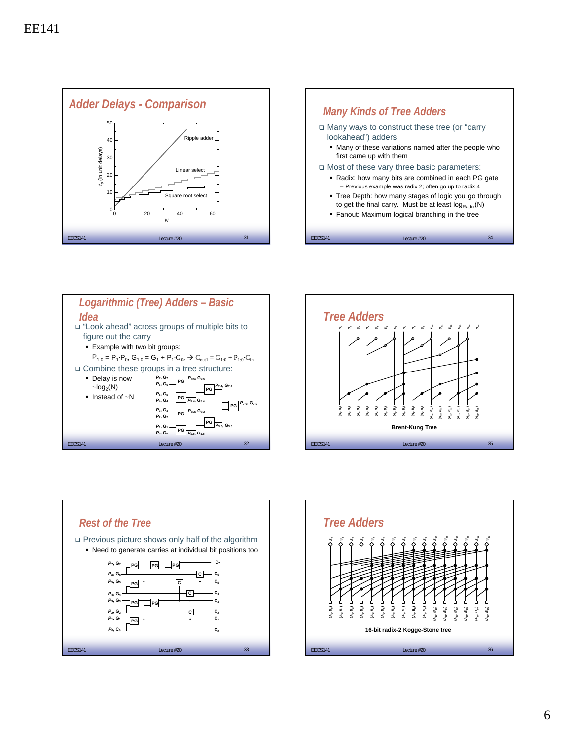